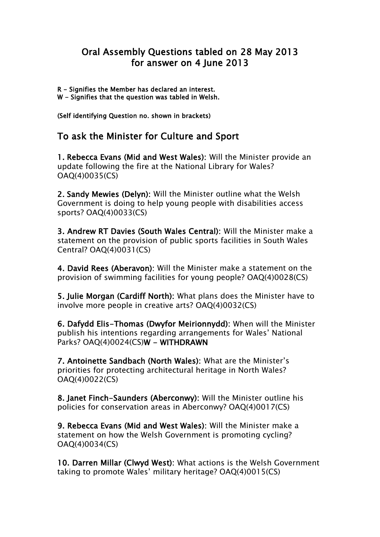## Oral Assembly Questions tabled on 28 May 2013 for answer on 4 June 2013

R - Signifies the Member has declared an interest. W - Signifies that the question was tabled in Welsh.

(Self identifying Question no. shown in brackets)

## To ask the Minister for Culture and Sport

1. Rebecca Evans (Mid and West Wales): Will the Minister provide an update following the fire at the National Library for Wales? OAQ(4)0035(CS)

2. Sandy Mewies (Delyn): Will the Minister outline what the Welsh Government is doing to help young people with disabilities access sports? OAQ(4)0033(CS)

3. Andrew RT Davies (South Wales Central): Will the Minister make a statement on the provision of public sports facilities in South Wales Central? OAQ(4)0031(CS)

4. David Rees (Aberavon): Will the Minister make a statement on the provision of swimming facilities for young people? OAQ(4)0028(CS)

5. Julie Morgan (Cardiff North): What plans does the Minister have to involve more people in creative arts? OAQ(4)0032(CS)

6. Dafydd Elis-Thomas (Dwyfor Meirionnydd): When will the Minister publish his intentions regarding arrangements for Wales' National Parks? OAQ(4)0024(CS)W - WITHDRAWN

7. Antoinette Sandbach (North Wales): What are the Minister's priorities for protecting architectural heritage in North Wales? OAQ(4)0022(CS)

8. Janet Finch-Saunders (Aberconwy): Will the Minister outline his policies for conservation areas in Aberconwy? OAQ(4)0017(CS)

9. Rebecca Evans (Mid and West Wales): Will the Minister make a statement on how the Welsh Government is promoting cycling? OAQ(4)0034(CS)

10. Darren Millar (Clwyd West): What actions is the Welsh Government taking to promote Wales' military heritage? OAQ(4)0015(CS)